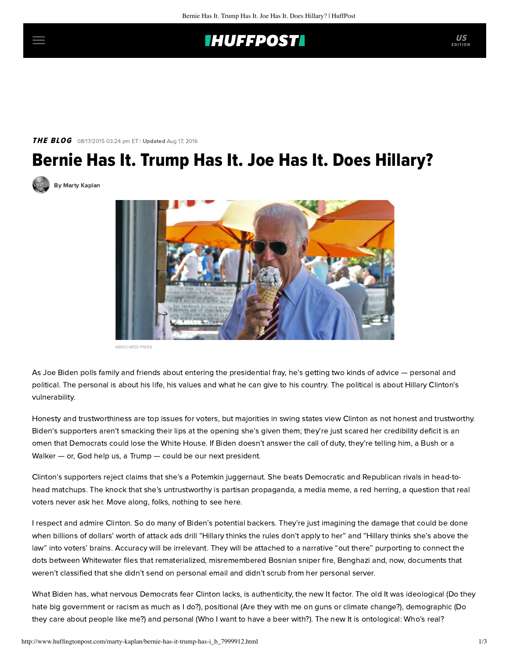## **THUFFPOST**

## **THE BLOG** 08/17/2015 03:24 pm ET | Updated Aug 17, 2016

# Bernie Has It. Trump Has It. Joe Has It. Does Hillary?





ASSOCIATED PRESS

As Joe Biden polls family and friends about entering the presidential fray, he's getting two kinds of advice — personal and political. The personal is about his life, his values and what he can give to his country. The political is about Hillary Clinton's vulnerability.

Honesty and trustworthiness are top issues for voters, but majorities in swing states [view Clinton](http://www.cnn.com/2015/06/17/politics/poll-2016-elections-hillary-clinton-trustworthy/) as not honest and trustworthy. Biden's supporters aren't smacking their lips at the opening she's given them; they're just scared her credibility deficit is an omen that Democrats could lose the White House. If Biden doesn't answer the call of duty, they're telling him, a Bush or a Walker — or, God help us, a Trump — could be our next president.

Clinton's supporters reject claims that she's a Potemkin juggernaut. She beats Democratic and Republican rivals in head-tohead matchups. The knock that she's untrustworthy is partisan propaganda, a media meme, a red herring, a question that real voters never ask her. Move along, folks, nothing to see here.

I respect and admire Clinton. So do many of Biden's potential backers. They're just imagining the damage that could be done when billions of dollars' worth of attack ads drill "Hillary thinks the rules don't apply to her" and "Hillary thinks she's above the law" into voters' brains. Accuracy will be irrelevant. They will be attached to a narrative "out there" purporting to connect the dots between Whitewater files that rematerialized, misremembered Bosnian sniper fire, Benghazi and, now, documents that weren't classified that she didn't send on personal email and didn't scrub from her personal server.

What Biden has, what nervous Democrats fear Clinton lacks, is authenticity, the new It factor. The old It was ideological (Do they hate big government or racism as much as I do?), positional (Are they with me on guns or climate change?), demographic (Do they care about people like me?) and personal (Who I want to have a beer with?). The new It is ontological: Who's real?

EDITION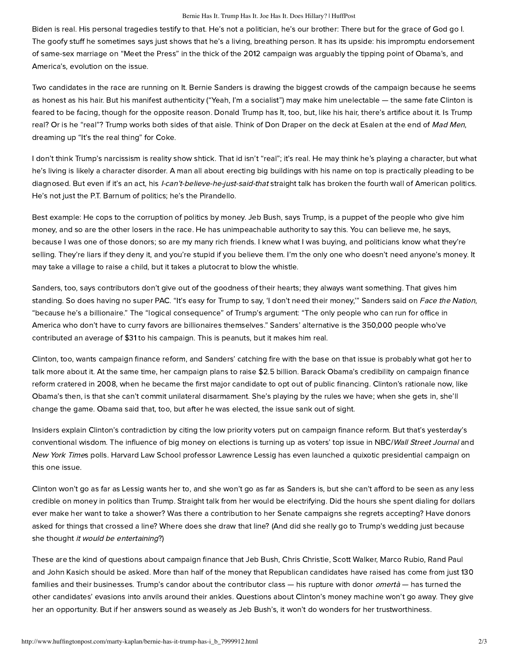#### Bernie Has It. Trump Has It. Joe Has It. Does Hillary? | HuffPost

Biden is real. His personal tragedies testify to that. He's not a politician, he's our brother: There but for the grace of God go I. The goofy stuff he sometimes says just shows that he's a living, breathing person. It has its upside: his impromptu endorsement of same-sex marriage on "Meet the Press" in the thick of the 2012 campaign was arguably the tipping point of Obama's, and America's, evolution on the issue.

Two candidates in the race are running on It. Bernie Sanders is drawing the biggest crowds of the campaign because he seems as honest as his hair. But his manifest authenticity ("Yeah, I'm a socialist") may make him unelectable — the same fate Clinton is feared to be facing, though for the opposite reason. Donald Trump has It, too, but, like his hair, there's artifice about it. Is Trump real? Or is he "real"? Trump works both sides of that aisle. Think of Don Draper on the deck at Esalen at the end of Mad Men, dreaming up "It's the real thing" for Coke.

I don't think Trump's narcissism is reality show shtick. That id isn't "real"; it's real. He may think he's playing a character, but what he's living is likely a character disorder. A man all about erecting big buildings with his name on top is practically pleading to be diagnosed. But even if it's an act, his *I-can't-believe-he-just-said-that* straight talk has broken the fourth wall of American politics. He's not just the P.T. Barnum of politics; he's the Pirandello.

Best example: He cops to the corruption of politics by money. Jeb Bush, says Trump, is a puppet of the people who give him money, and so are the other losers in the race. He has unimpeachable authority to say this. You can believe me, he says, because I was one of those donors; so are my many rich friends. I knew what I was buying, and politicians know what they're selling. They're liars if they deny it, and you're stupid if you believe them. I'm the only one who doesn't need anyone's money. It may take a village to raise a child, but it takes a plutocrat to blow the whistle.

Sanders, too, says contributors don't give out of the goodness of their hearts; they always want something. That gives him standing. So does having no super PAC. "It's easy for Trump to say, 'I don't need their money," Sanders [said](http://www.cbsnews.com/news/face-the-nation-transcripts-august-9-2015-trump-fiorina-carson-sanders/) on Face the Nation, "because he's a billionaire." The "logical consequence" of Trump's argument: "The only people who can run for office in America who don't have to curry favors are billionaires themselves." Sanders' alternative is the 350,000 people who've contributed an average of \$31 to his campaign. This is peanuts, but it makes him real.

Clinton, too, wants campaign finance reform, and Sanders' catching fire with the base on that issue is probably what got her to talk more about it. At the same time, her campaign plans to raise \$2.5 billion. Barack Obama's credibility on campaign finance reform cratered in 2008, when he became the first major candidate [to opt out](http://www.nytimes.com/2008/06/20/us/politics/20obamacnd.html) of public financing. Clinton's rationale now, like Obama's then, is that she can't commit unilateral disarmament. She's playing by the rules we have; when she gets in, she'll change the game. Obama said that, too, but after he was elected, the issue sank out of sight.

Insiders explain Clinton's contradiction by citing the low priority voters put on campaign finance reform. But that's yesterday's conventional wisdom. The influence of big money on elections is turning up as voters' [top issue](http://cnnpressroom.blogs.cnn.com/2015/08/16/harvard-law-professor-lawrence-lessig-if-elected-i-will-stay-as-president-only-as-long-as-it-takes-to-get-this-campaign-finance-reform-fundamental-reform-passed/) in NBC/Wall Street Journal and New York Times polls. Harvard Law School professor Lawrence Lessig has even launched a quixotic presidential campaign on this one issue.

Clinton won't go as far as Lessig wants her to, and she won't go as far as Sanders is, but she can't afford to be seen as any less credible on money in politics than Trump. Straight talk from her would be electrifying. Did the hours she spent dialing for dollars ever make her want to take a shower? Was there a contribution to her Senate campaigns she regrets accepting? Have donors asked for things that crossed a line? Where does she draw that line? (And did she really go to Trump's wedding just because she thought it would be [entertaining](http://www.usnews.com/news/politics/articles/2015/08/10/clinton-thought-trump-wedding-would-be-entertaining)?)

These are the kind of questions about campaign finance that Jeb Bush, Chris Christie, Scott Walker, Marco Rubio, Rand Paul and John Kasich should be asked. [More than half of the money t](http://www.nytimes.com/2015/08/15/opinion/the-affluent-ante-up-for-the-presidency.html)hat Republican candidates have raised has come from just 130 families and their businesses. Trump's candor about the contributor class — his rupture with donor omertà — has turned the other candidates' evasions into anvils around their ankles. Questions about Clinton's money machine won't go away. They give her an opportunity. But if her answers sound as weasely as Jeb Bush's, it won't do wonders for her trustworthiness.